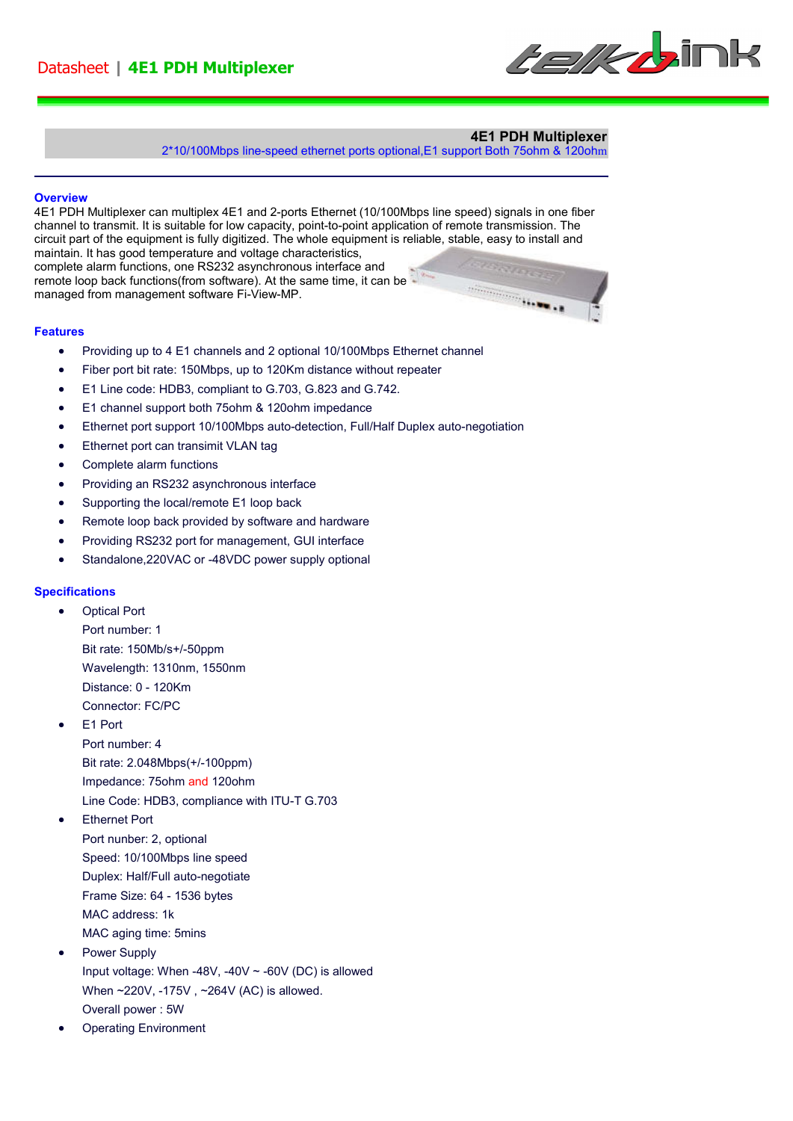

## **4E1 PDH Multiplexer**

2\*10/100Mbps line-speed ethernet ports optional,E1 support Both 75ohm & 120ohm

#### **Overview**

Ī

4E1 PDH Multiplexer can multiplex 4E1 and 2-ports Ethernet (10/100Mbps line speed) signals in one fiber channel to transmit. It is suitable for low capacity, point-to-point application of remote transmission. The circuit part of the equipment is fully digitized. The whole equipment is reliable, stable, easy to install and maintain. It has good temperature and voltage characteristics, complete alarm functions, one RS232 asynchronous interface and remote loop back functions(from software). At the same time, it can be  $\begin{picture}(20,10) \put(0,0){\vector(1,0){10}} \put(10,0){\vector(1,0){10}} \put(10,0){\vector(1,0){10}} \put(10,0){\vector(1,0){10}} \put(10,0){\vector(1,0){10}} \put(10,0){\vector(1,0){10}} \put(10,0){\vector(1,0){10}} \put(10,0){\vector(1,0){10}} \put(10,0){\vector(1,0){10}} \put(10,0){\vector(1,0){10}} \put(10,0){\vector(1,0){10}} \put(10,0){\vector(1$ managed from management software Fi-View-MP.

#### **Features**

- Providing up to 4 E1 channels and 2 optional 10/100Mbps Ethernet channel
- Fiber port bit rate: 150Mbps, up to 120Km distance without repeater
- E1 Line code: HDB3, compliant to G.703, G.823 and G.742.
- E1 channel support both 75ohm & 120ohm impedance
- Ethernet port support 10/100Mbps auto-detection, Full/Half Duplex auto-negotiation
- Ethernet port can transimit VLAN tag
- Complete alarm functions
- Providing an RS232 asynchronous interface
- Supporting the local/remote E1 loop back
- Remote loop back provided by software and hardware
- Providing RS232 port for management, GUI interface
- Standalone,220VAC or -48VDC power supply optional

### **Specifications**

- Optical Port Port number: 1 Bit rate: 150Mb/s+/-50ppm Wavelength: 1310nm, 1550nm Distance: 0 - 120Km Connector: FC/PC
- E1 Port

Port number: 4 Bit rate: 2.048Mbps(+/-100ppm) Impedance: 75ohm and 120ohm Line Code: HDB3, compliance with ITU-T G.703

• Ethernet Port

- Port nunber: 2, optional Speed: 10/100Mbps line speed Duplex: Half/Full auto-negotiate
- Frame Size: 64 1536 bytes
- MAC address: 1k
- MAC aging time: 5mins
- Power Supply Input voltage: When -48V, -40V  $\sim$  -60V (DC) is allowed When ~220V, -175V , ~264V (AC) is allowed. Overall power : 5W
- Operating Environment